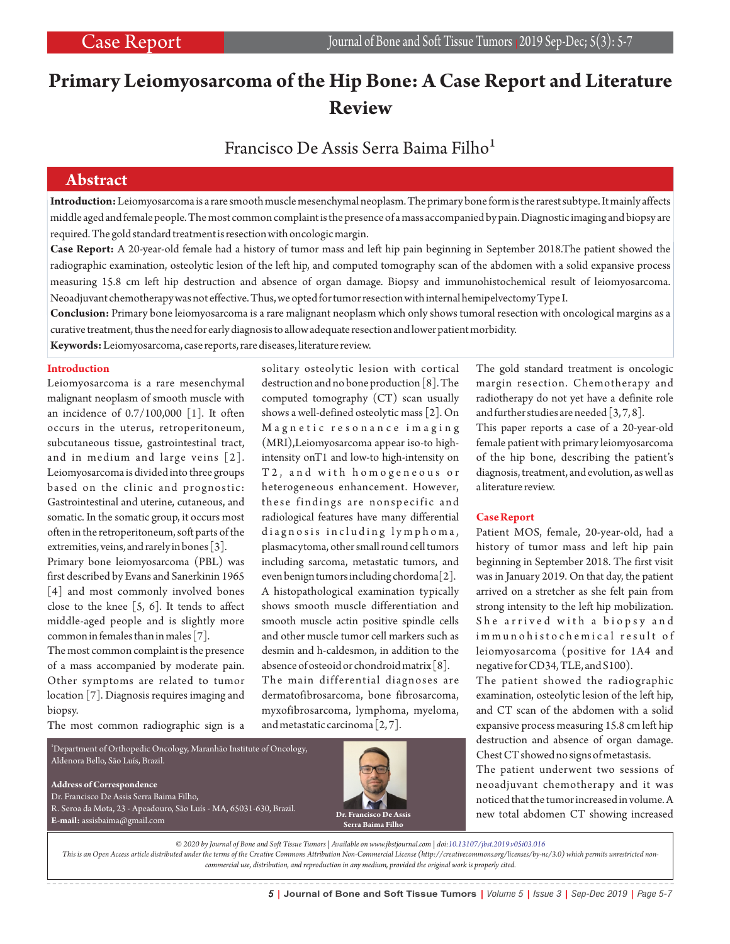# **Primary Leiomyosarcoma of the Hip Bone: A Case Report and Literature Review**

# Francisco De Assis Serra Baima Filho<sup>1</sup>

## **Abstract**

**Introduction:**Leiomyosarcoma is a rare smooth muscle mesenchymal neoplasm. The primary bone form is the rarest subtype. It mainly affects middle aged and female people. The most common complaint is the presence of a mass accompanied by pain. Diagnostic imaging and biopsy are required. The gold standard treatment is resection with oncologic margin.

**Case Report:** A 20-year-old female had a history of tumor mass and left hip pain beginning in September 2018.The patient showed the radiographic examination, osteolytic lesion of the left hip, and computed tomography scan of the abdomen with a solid expansive process measuring 15.8 cm left hip destruction and absence of organ damage. Biopsy and immunohistochemical result of leiomyosarcoma. Neoadjuvant chemotherapy was not effective. Thus, we opted for tumor resection with internal hemipelvectomy Type I.

**Conclusion:** Primary bone leiomyosarcoma is a rare malignant neoplasm which only shows tumoral resection with oncological margins as a curative treatment, thus the need for early diagnosis to allow adequate resection and lower patient morbidity.

**Keywords:**Leiomyosarcoma, case reports, rare diseases, literature review.

### **Introduction**

Leiomyosarcoma is a rare mesenchymal malignant neoplasm of smooth muscle with an incidence of 0.7/100,000 [1]. It often occurs in the uterus, retroperitoneum, subcutaneous tissue, gastrointestinal tract, and in medium and large veins [2]. Leiomyosarcoma is divided into three groups based on the clinic and prognostic: Gastrointestinal and uterine, cutaneous, and somatic. In the somatic group, it occurs most often in the retroperitoneum, soft parts of the extremities, veins, and rarely in bones [3]. Primary bone leiomyosarcoma (PBL) was first described by Evans and Sanerkinin 1965 [4] and most commonly involved bones close to the knee  $[5, 6]$ . It tends to affect middle-aged people and is slightly more common in females than in males [7].

The most common complaint is the presence of a mass accompanied by moderate pain. Other symptoms are related to tumor location [7]. Diagnosis requires imaging and biopsy.

The most common radiographic sign is a

solitary osteolytic lesion with cortical destruction and no bone production [8]. The computed tomography (CT) scan usually shows a well-defined osteolytic mass [2]. On Magnetic resonance imaging (MRI),Leiomyosarcoma appear iso-to highintensity onT1 and low-to high-intensity on T2, and with homogeneous or heterogeneous enhancement. However, these findings are nonspecific and radiological features have many differential diagnosis including lymphoma, plasmacytoma, other small round cell tumors including sarcoma, metastatic tumors, and even benign tumors including chordoma[2]. A histopathological examination typically shows smooth muscle differentiation and smooth muscle actin positive spindle cells and other muscle tumor cell markers such as desmin and h-caldesmon, in addition to the absence of osteoid or chondroid matrix [8]. The main differential diagnoses are dermatofibrosarcoma, bone fibrosarcoma, myxofibrosarcoma, lymphoma, myeloma, and metastatic carcinoma [2, 7].

<sup>1</sup>Department of Orthopedic Oncology, Maranhão Institute of Oncology, Aldenora Bello, São Luís, Brazil. **Address of Correspondence** Dr. Francisco De Assis Serra Baima Filho, R. Seroa da Mota, 23 - Apeadouro, São Luís - MA, 65031-630, Brazil. **E-mail:** assisbaima@gmail.com



The gold standard treatment is oncologic margin resection. Chemotherapy and radiotherapy do not yet have a definite role and further studies are needed [3, 7, 8].

This paper reports a case of a 20-year-old female patient with primary leiomyosarcoma of the hip bone, describing the patient's diagnosis, treatment, and evolution, as well as a literature review.

### **Case Report**

Patient MOS, female, 20-year-old, had a history of tumor mass and left hip pain beginning in September 2018. The first visit was in January 2019. On that day, the patient arrived on a stretcher as she felt pain from strong intensity to the left hip mobilization. She arrived with a biopsy and im m u n o h i s t o che m i c al result of leiomyosarcoma (positive for 1A4 and negative for CD34, TLE, and S100).

The patient showed the radiographic examination, osteolytic lesion of the left hip, and CT scan of the abdomen with a solid expansive process measuring 15.8 cm left hip destruction and absence of organ damage. Chest CT showed no signs of metastasis.

The patient underwent two sessions of neoadjuvant chemotherapy and it was noticed that the tumor increased in volume. A new total abdomen CT showing increased

*© 2020 by Journal of Bone and Soft Tissue Tumors | Available on www.jbstjournal.com | doi:10.13107/jbst.2019.v05i03.016*

*This is an Open Access article distributed under the terms of the Creative Commons Attribution Non-Commercial License (http://creativecommons.org/licenses/by-nc/3.0) which permits unrestricted noncommercial use, distribution, and reproduction in any medium, provided the original work is properly cited.*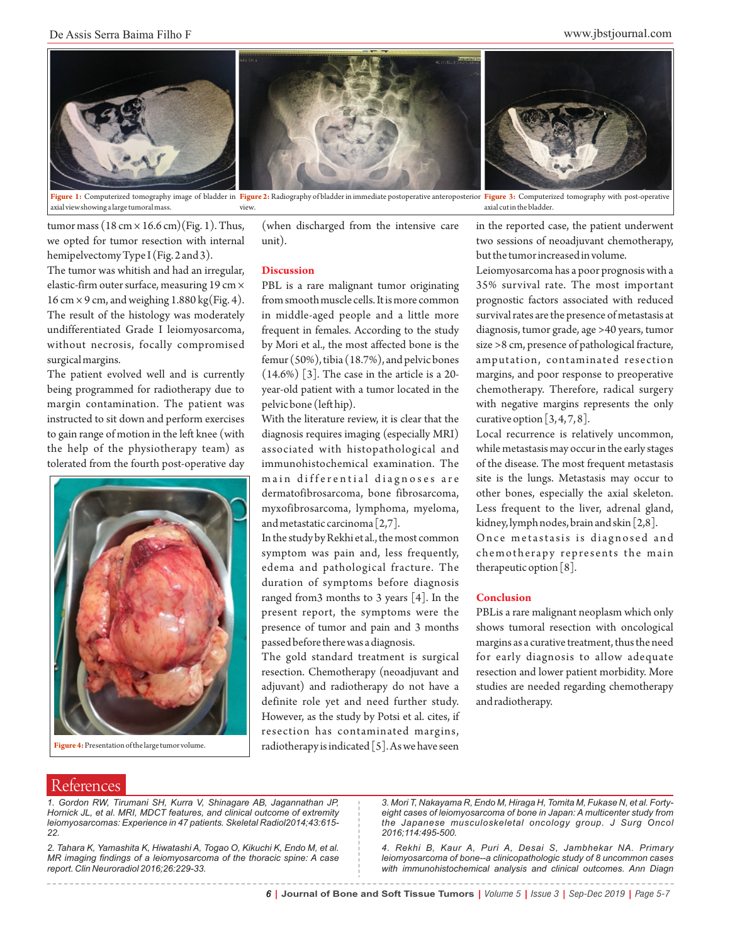

**Figure 1:** Computerized tomography image of bladder in F<mark>igure 2:</mark> Radiography of bladder in immediate postoperative anteroposterior Fi**gure 3:** Computerized tomography with post-operative axial view showing a large tumoral mass. view. axial cut in the bladder.

tumor mass  $(18 \text{ cm} \times 16.6 \text{ cm})$  (Fig. 1). Thus, we opted for tumor resection with internal hemipelvectomy Type I (Fig. 2 and 3).

The tumor was whitish and had an irregular, elastic-firm outer surface, measuring 19 cm × 16 cm  $\times$  9 cm, and weighing 1.880 kg(Fig. 4). The result of the histology was moderately undifferentiated Grade I leiomyosarcoma, without necrosis, focally compromised surgical margins.

The patient evolved well and is currently being programmed for radiotherapy due to margin contamination. The patient was instructed to sit down and perform exercises to gain range of motion in the left knee (with the help of the physiotherapy team) as tolerated from the fourth post-operative day



**Figure 4:**Presentation of the large tumor volume.

----------------------------------

(when discharged from the intensive care unit).

#### **Discussion**

PBL is a rare malignant tumor originating from smooth muscle cells. It is more common in middle-aged people and a little more frequent in females. According to the study by Mori et al., the most affected bone is the femur (50%), tibia (18.7%), and pelvic bones (14.6%) [3]. The case in the article is a 20 year-old patient with a tumor located in the pelvic bone (left hip).

With the literature review, it is clear that the diagnosis requires imaging (especially MRI) associated with histopathological and immunohistochemical examination. The main differential diagnoses are dermatofibrosarcoma, bone fibrosarcoma, myxofibrosarcoma, lymphoma, myeloma, and metastatic carcinoma [2,7].

In the study by Rekhi et al., the most common symptom was pain and, less frequently, edema and pathological fracture. The duration of symptoms before diagnosis ranged from3 months to 3 years [4]. In the present report, the symptoms were the presence of tumor and pain and 3 months passed before there was a diagnosis.

The gold standard treatment is surgical resection. Chemotherapy (neoadjuvant and adjuvant) and radiotherapy do not have a definite role yet and need further study. However, as the study by Potsi et al. cites, if resection has contaminated margins, radiotherapy is indicated [5]. As we have seen

in the reported case, the patient underwent two sessions of neoadjuvant chemotherapy, but the tumor increased in volume.

Leiomyosarcoma has a poor prognosis with a 35% survival rate. The most important prognostic factors associated with reduced survival rates are the presence of metastasis at diagnosis, tumor grade, age >40 years, tumor size >8 cm, presence of pathological fracture, amputation, contaminated resection margins, and poor response to preoperative chemotherapy. Therefore, radical surgery with negative margins represents the only curative option  $[3, 4, 7, 8]$ .

Local recurrence is relatively uncommon, while metastasis may occur in the early stages of the disease. The most frequent metastasis site is the lungs. Metastasis may occur to other bones, especially the axial skeleton. Less frequent to the liver, adrenal gland, kidney, lymph nodes, brain and skin [2,8].

Once metastasis is diagnosed and chemotherapy represents the main therapeutic option [8].

#### **Conclusion**

PBLis a rare malignant neoplasm which only shows tumoral resection with oncological margins as a curative treatment, thus the need for early diagnosis to allow adequate resection and lower patient morbidity. More studies are needed regarding chemotherapy and radiotherapy.

\_\_\_\_\_\_\_\_\_\_\_\_\_\_\_\_\_

# References

*1. Gordon RW, Tirumani SH, Kurra V, Shinagare AB, Jagannathan JP, Hornick JL, et al. MRI, MDCT features, and clinical outcome of extremity leiomyosarcomas: Experience in 47 patients. Skeletal Radiol2014;43:615- 22.*

*2. Tahara K, Yamashita K, Hiwatashi A, Togao O, Kikuchi K, Endo M, et al. MR imaging findings of a leiomyosarcoma of the thoracic spine: A case report. Clin Neuroradiol 2016;26:229-33.*

*3. Mori T, Nakayama R, Endo M, Hiraga H, Tomita M, Fukase N, et al. Fortyeight cases of leiomyosarcoma of bone in Japan: A multicenter study from the Japanese musculoskeletal oncology group. J Surg Oncol 2016;114:495-500.*

*4. Rekhi B, Kaur A, Puri A, Desai S, Jambhekar NA. Primary leiomyosarcoma of bone--a clinicopathologic study of 8 uncommon cases with immunohistochemical analysis and clinical outcomes. Ann Diagn*